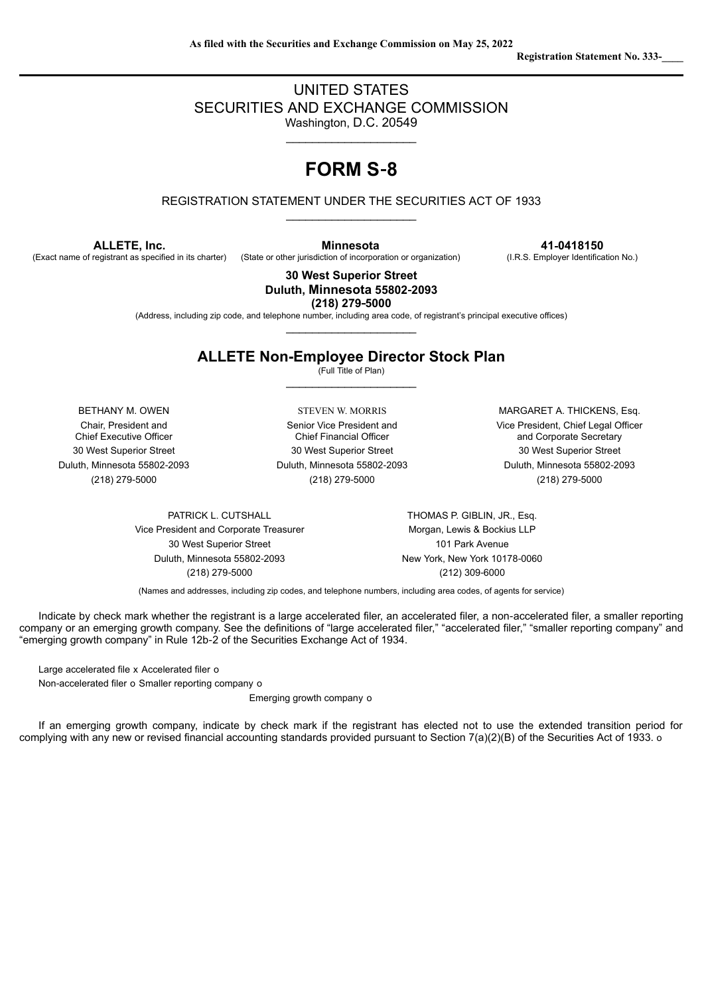# UNITED STATES SECURITIES AND EXCHANGE COMMISSION Washington, D.C. 20549

 $\_$ 

# **FORM S**‑**8**

REGISTRATION STATEMENT UNDER THE SECURITIES ACT OF 1933 \_\_\_\_\_\_\_\_\_\_\_\_\_\_\_\_\_\_\_\_

**ALLETE, Inc.**

(Exact name of registrant as specified in its charter)

**Minnesota**

(State or other jurisdiction of incorporation or organization)

**41**‑**0418150** (I.R.S. Employer Identification No.)

**30 West Superior Street Duluth, Minnesota 55802**‑**2093 (218) 279**‑**5000**

(Address, including zip code, and telephone number, including area code, of registrant's principal executive offices) \_\_\_\_\_\_\_\_\_\_\_\_\_\_\_\_\_\_\_\_

# **ALLETE Non-Employee Director Stock Plan**

(Full Title of Plan) \_\_\_\_\_\_\_\_\_\_\_\_\_\_\_\_\_\_\_\_

Chair, President and Chief Executive Officer

Senior Vice President and Chief Financial Officer 30 West Superior Street 30 West Superior Street 30 West Superior Street Duluth, Minnesota 55802‑2093 Duluth, Minnesota 55802‑2093 Duluth, Minnesota 55802‑2093 (218) 279‑5000 (218) 279‑5000 (218) 279‑5000

BETHANY M. OWEN STEVEN W. MORRIS MARGARET A. THICKENS, Esq. Vice President, Chief Legal Officer and Corporate Secretary

Vice President and Corporate Treasurer Morgan, Lewis & Bockius LLP 30 West Superior Street 101 Park Avenue Duluth, Minnesota 55802-2093 New York, New York 10178-0060 (218) 279‑5000 (212) 309‑6000

PATRICK L. CUTSHALL **THOMAS P. GIBLIN, JR., Esq.** 

(Names and addresses, including zip codes, and telephone numbers, including area codes, of agents for service)

Indicate by check mark whether the registrant is a large accelerated filer, an accelerated filer, a non-accelerated filer, a smaller reporting company or an emerging growth company. See the definitions of "large accelerated filer," "accelerated filer," "smaller reporting company" and "emerging growth company" in Rule 12b‑2 of the Securities Exchange Act of 1934.

Large accelerated file x Accelerated filer o

Non‑accelerated filer o Smaller reporting company o

Emerging growth company o

If an emerging growth company, indicate by check mark if the registrant has elected not to use the extended transition period for complying with any new or revised financial accounting standards provided pursuant to Section 7(a)(2)(B) of the Securities Act of 1933. o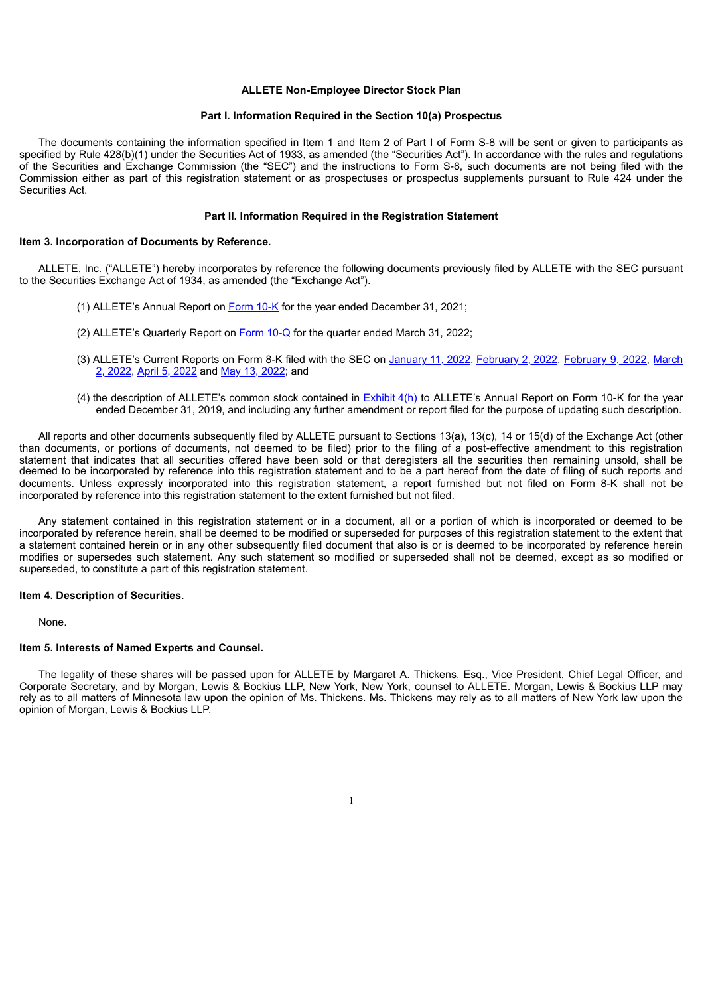#### **ALLETE Non-Employee Director Stock Plan**

#### **Part I. Information Required in the Section 10(a) Prospectus**

The documents containing the information specified in Item 1 and Item 2 of Part I of Form S-8 will be sent or given to participants as specified by Rule 428(b)(1) under the Securities Act of 1933, as amended (the "Securities Act"). In accordance with the rules and regulations of the Securities and Exchange Commission (the "SEC") and the instructions to Form S-8, such documents are not being filed with the Commission either as part of this registration statement or as prospectuses or prospectus supplements pursuant to Rule 424 under the Securities Act.

### **Part II. Information Required in the Registration Statement**

#### **Item 3. Incorporation of Documents by Reference.**

ALLETE, Inc. ("ALLETE") hereby incorporates by reference the following documents previously filed by ALLETE with the SEC pursuant to the Securities Exchange Act of 1934, as amended (the "Exchange Act").

- (1) ALLETE's Annual Report on [Form](http://www.sec.gov/ix?doc=/Archives/edgar/data/66756/000006675622000014/ale-20211231.htm) [10-K](http://www.sec.gov/ix?doc=/Archives/edgar/data/66756/000006675622000014/ale-20211231.htm) for the year ended December 31, 2021;
- (2) ALLETE's Quarterly Report on [Form](http://www.sec.gov/ix?doc=/Archives/edgar/data/66756/000006675622000030/ale-20220331.htm) [10-Q](http://www.sec.gov/ix?doc=/Archives/edgar/data/66756/000006675622000030/ale-20220331.htm) for the quarter ended March 31, 2022;
- (3) [ALLETE's](http://www.sec.gov/ix?doc=/Archives/edgar/data/66756/000006675622000019/ale-20220228.htm) Current Reports on Form 8-K filed with the SEC on [January](http://www.sec.gov/ix?doc=/Archives/edgar/data/66756/000006675622000003/ale-20220111.htm) 11, 2022, [February](http://www.sec.gov/ix?doc=/Archives/edgar/data/66756/000006675622000009/ale-20220209.htm) 2, [2022](http://www.sec.gov/ix?doc=/Archives/edgar/data/66756/000006675622000009/ale-20220209.htm), February [9](http://www.sec.gov/ix?doc=/Archives/edgar/data/66756/000006675622000009/ale-20220209.htm), 2022, March 2, 2022, April 5, [2022](http://www.sec.gov/ix?doc=/Archives/edgar/data/66756/000006675622000027/ale-20220405.htm) and May 13, [2022](http://www.sec.gov/ix?doc=/Archives/edgar/data/66756/000006675622000032/ale-20220510.htm); and
- (4) the description of ALLETE's common stock contained in [Exhibit](http://www.sec.gov/Archives/edgar/data/66756/000006675620000016/exhibit4h.htm) 4(h) to ALLETE's Annual Report on Form 10‑K for the year ended December 31, 2019, and including any further amendment or report filed for the purpose of updating such description.

All reports and other documents subsequently filed by ALLETE pursuant to Sections 13(a), 13(c), 14 or 15(d) of the Exchange Act (other than documents, or portions of documents, not deemed to be filed) prior to the filing of a post‑effective amendment to this registration statement that indicates that all securities offered have been sold or that deregisters all the securities then remaining unsold, shall be deemed to be incorporated by reference into this registration statement and to be a part hereof from the date of filing of such reports and documents. Unless expressly incorporated into this registration statement, a report furnished but not filed on Form 8-K shall not be incorporated by reference into this registration statement to the extent furnished but not filed.

Any statement contained in this registration statement or in a document, all or a portion of which is incorporated or deemed to be incorporated by reference herein, shall be deemed to be modified or superseded for purposes of this registration statement to the extent that a statement contained herein or in any other subsequently filed document that also is or is deemed to be incorporated by reference herein modifies or supersedes such statement. Any such statement so modified or superseded shall not be deemed, except as so modified or superseded, to constitute a part of this registration statement.

### **Item 4. Description of Securities**.

None.

#### **Item 5. Interests of Named Experts and Counsel.**

The legality of these shares will be passed upon for ALLETE by Margaret A. Thickens, Esq., Vice President, Chief Legal Officer, and Corporate Secretary, and by Morgan, Lewis & Bockius LLP, New York, New York, counsel to ALLETE. Morgan, Lewis & Bockius LLP may rely as to all matters of Minnesota law upon the opinion of Ms. Thickens. Ms. Thickens may rely as to all matters of New York law upon the opinion of Morgan, Lewis & Bockius LLP.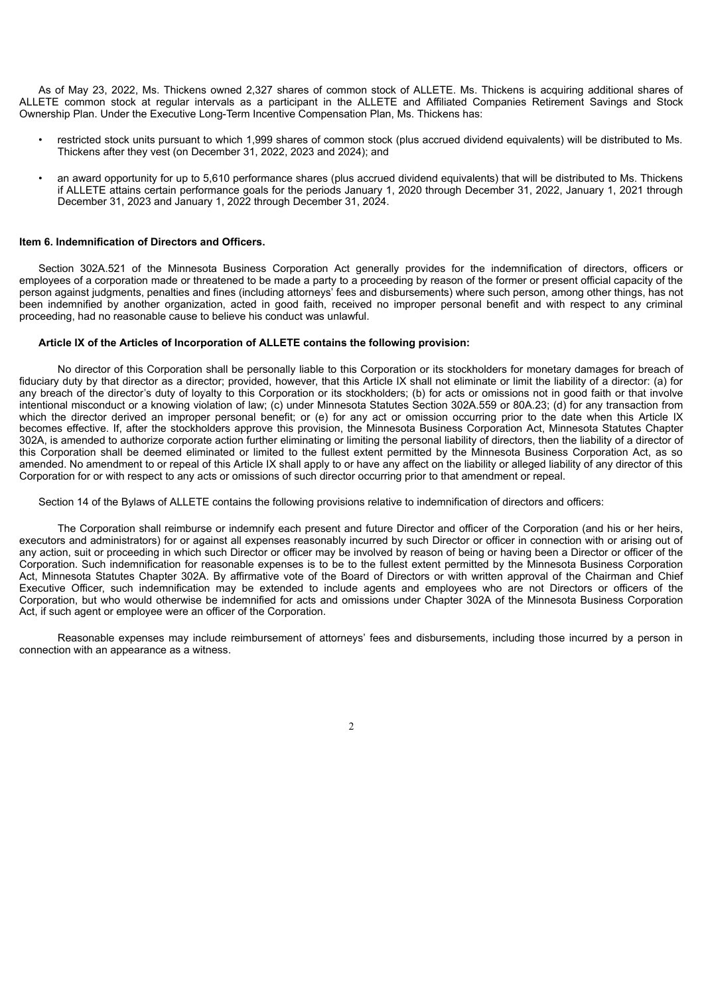As of May 23, 2022, Ms. Thickens owned 2,327 shares of common stock of ALLETE. Ms. Thickens is acquiring additional shares of ALLETE common stock at regular intervals as a participant in the ALLETE and Affiliated Companies Retirement Savings and Stock Ownership Plan. Under the Executive Long-Term Incentive Compensation Plan, Ms. Thickens has:

- restricted stock units pursuant to which 1,999 shares of common stock (plus accrued dividend equivalents) will be distributed to Ms. Thickens after they vest (on December 31, 2022, 2023 and 2024); and
- an award opportunity for up to 5,610 performance shares (plus accrued dividend equivalents) that will be distributed to Ms. Thickens if ALLETE attains certain performance goals for the periods January 1, 2020 through December 31, 2022, January 1, 2021 through December 31, 2023 and January 1, 2022 through December 31, 2024.

### **Item 6. Indemnification of Directors and Officers.**

Section 302A.521 of the Minnesota Business Corporation Act generally provides for the indemnification of directors, officers or employees of a corporation made or threatened to be made a party to a proceeding by reason of the former or present official capacity of the person against judgments, penalties and fines (including attorneys' fees and disbursements) where such person, among other things, has not been indemnified by another organization, acted in good faith, received no improper personal benefit and with respect to any criminal proceeding, had no reasonable cause to believe his conduct was unlawful.

### **Article IX of the Articles of Incorporation of ALLETE contains the following provision:**

No director of this Corporation shall be personally liable to this Corporation or its stockholders for monetary damages for breach of fiduciary duty by that director as a director; provided, however, that this Article IX shall not eliminate or limit the liability of a director: (a) for any breach of the director's duty of loyalty to this Corporation or its stockholders; (b) for acts or omissions not in good faith or that involve intentional misconduct or a knowing violation of law; (c) under Minnesota Statutes Section 302A.559 or 80A.23; (d) for any transaction from which the director derived an improper personal benefit; or (e) for any act or omission occurring prior to the date when this Article IX becomes effective. If, after the stockholders approve this provision, the Minnesota Business Corporation Act, Minnesota Statutes Chapter 302A, is amended to authorize corporate action further eliminating or limiting the personal liability of directors, then the liability of a director of this Corporation shall be deemed eliminated or limited to the fullest extent permitted by the Minnesota Business Corporation Act, as so amended. No amendment to or repeal of this Article IX shall apply to or have any affect on the liability or alleged liability of any director of this Corporation for or with respect to any acts or omissions of such director occurring prior to that amendment or repeal.

Section 14 of the Bylaws of ALLETE contains the following provisions relative to indemnification of directors and officers:

The Corporation shall reimburse or indemnify each present and future Director and officer of the Corporation (and his or her heirs, executors and administrators) for or against all expenses reasonably incurred by such Director or officer in connection with or arising out of any action, suit or proceeding in which such Director or officer may be involved by reason of being or having been a Director or officer of the Corporation. Such indemnification for reasonable expenses is to be to the fullest extent permitted by the Minnesota Business Corporation Act, Minnesota Statutes Chapter 302A. By affirmative vote of the Board of Directors or with written approval of the Chairman and Chief Executive Officer, such indemnification may be extended to include agents and employees who are not Directors or officers of the Corporation, but who would otherwise be indemnified for acts and omissions under Chapter 302A of the Minnesota Business Corporation Act, if such agent or employee were an officer of the Corporation.

Reasonable expenses may include reimbursement of attorneys' fees and disbursements, including those incurred by a person in connection with an appearance as a witness.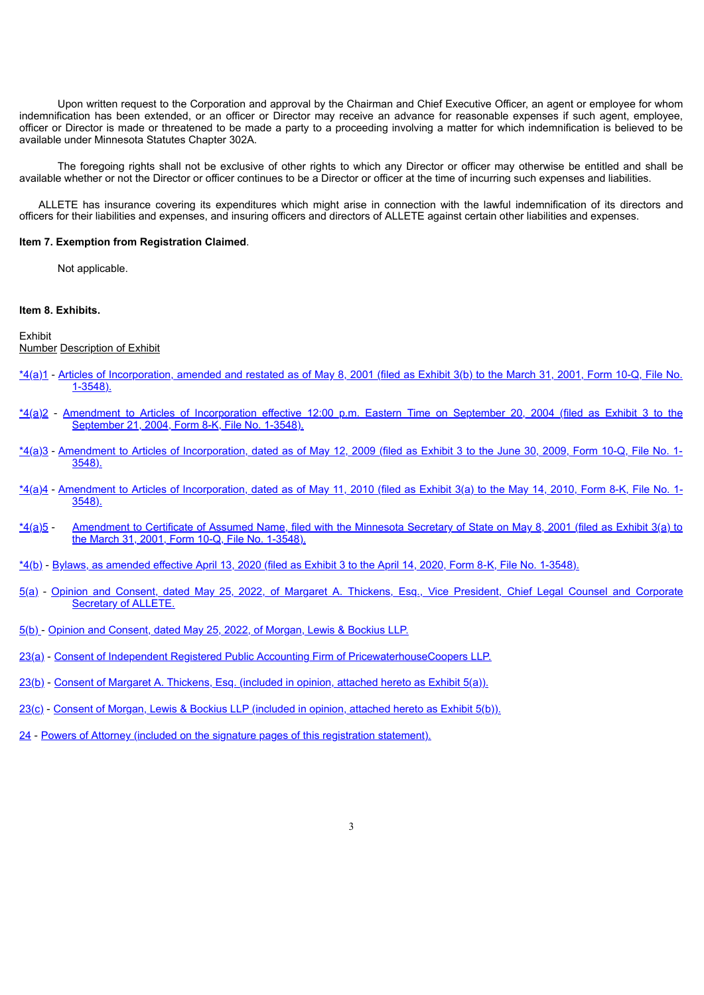Upon written request to the Corporation and approval by the Chairman and Chief Executive Officer, an agent or employee for whom indemnification has been extended, or an officer or Director may receive an advance for reasonable expenses if such agent, employee, officer or Director is made or threatened to be made a party to a proceeding involving a matter for which indemnification is believed to be available under Minnesota Statutes Chapter 302A.

The foregoing rights shall not be exclusive of other rights to which any Director or officer may otherwise be entitled and shall be available whether or not the Director or officer continues to be a Director or officer at the time of incurring such expenses and liabilities.

ALLETE has insurance covering its expenditures which might arise in connection with the lawful indemnification of its directors and officers for their liabilities and expenses, and insuring officers and directors of ALLETE against certain other liabilities and expenses.

### **Item 7. Exemption from Registration Claimed**.

Not applicable.

### **Item 8. Exhibits.**

#### Exhibit

Number Description of Exhibit

- [\\*4\(a\)1](https://www.sec.gov/Archives/edgar/data/66756/000006675601500027/ex3b.txt) ‑ Articles of [Incorporation,](https://www.sec.gov/Archives/edgar/data/66756/000006675601500027/ex3b.txt) amended and restated as of May 8, 2001 (filed as Exhibit 3(b) to the March 31, 2001, Form 10-Q, File No. 1-3548).
- [\\*4\(a\)2](https://www.sec.gov/Archives/edgar/data/66756/000006675604000094/r8k092104exhibit3.txt) ‑ Amendment to Articles of [Incorporation](https://www.sec.gov/Archives/edgar/data/66756/000006675604000094/r8k092104exhibit3.txt) effective 12:00 p.m. Eastern Time on September 20, 2004 (filed as Exhibit 3 to the September 21, 2004, Form 8-K, File No. 1-3548).
- [\\*4\(a\)3](https://www.sec.gov/Archives/edgar/data/66756/000006675609000076/exhibit_3.htm) ‑ Amendment to Articles of [Incorporation,](https://www.sec.gov/Archives/edgar/data/66756/000006675609000076/exhibit_3.htm) dated as of May 12, 2009 (filed as Exhibit 3 to the June 30, 2009, Form 10-Q, File No. 1-  $3548.$
- [\\*4\(a\)4](https://www.sec.gov/Archives/edgar/data/66756/000006675610000052/articles.htm) ‑ Amendment to Articles of [Incorporation,](https://www.sec.gov/Archives/edgar/data/66756/000006675610000052/articles.htm) dated as of May 11, 2010 (filed as Exhibit 3(a) to the May 14, 2010, Form 8-K, File No. 1- 3548).
- [\\*4\(a\)5](https://www.sec.gov/Archives/edgar/data/66756/000006675601500027/ex3a.txt) ‑ [Amendment](https://www.sec.gov/Archives/edgar/data/66756/000006675601500027/ex3a.txt) to Certificate of Assumed Name, filed with the Minnesota Secretary of State on May 8, 2001 (filed as Exhibit 3(a) to the March 31, 2001, Form 10-Q, File No. 1-3548).
- [\\*4\(b\)](https://www.sec.gov/Archives/edgar/data/66756/000006675620000039/ex-3bylawsxamended.htm) ‑ Bylaws, as [amended](https://www.sec.gov/Archives/edgar/data/66756/000006675620000039/ex-3bylawsxamended.htm) effective April 13, 2020 (filed as Exhibit 3 to the April 14, 2020, Form 8‑K, File No. 1-3548).
- [5\(a\)](#page-8-0) ‑ Opinion and [Consent,](#page-8-0) dated [May](#page-8-0) [25,](#page-8-0) [2022,](#page-8-0) of Margaret A. Thickens, Esq., Vice [President,](#page-8-0) Chief Legal Counsel and Corporate Secretary of ALLETE.
- [5\(b\)](#page-9-0) ‑ Opinion and [Consent,](#page-9-0) dated [May](#page-9-0) [25,](#page-9-0) [2022](#page-9-0), of [Morgan,](#page-9-0) Lewis & Bockius LLP.
- [23\(a\)](#page-11-0) ‑ Consent of Independent Registered Public Accounting Firm of [PricewaterhouseCoopers](#page-11-0) LLP.
- [23\(b\)](#page-8-0) ‑ Consent of Margaret A. [Thickens,](#page-8-0) Esq. (included in opinion, attached hereto as Exhibit 5(a)).
- [23\(c\)](#page-9-0) ‑ Consent of Morgan, Lewis & Bockius LLP [\(included](#page-9-0) in opinion, attached hereto as Exhibit 5(b)).
- [24](#page-4-0) ‑ Powers of Attorney (included on the signature pages of this registration [statement\).](#page-4-0)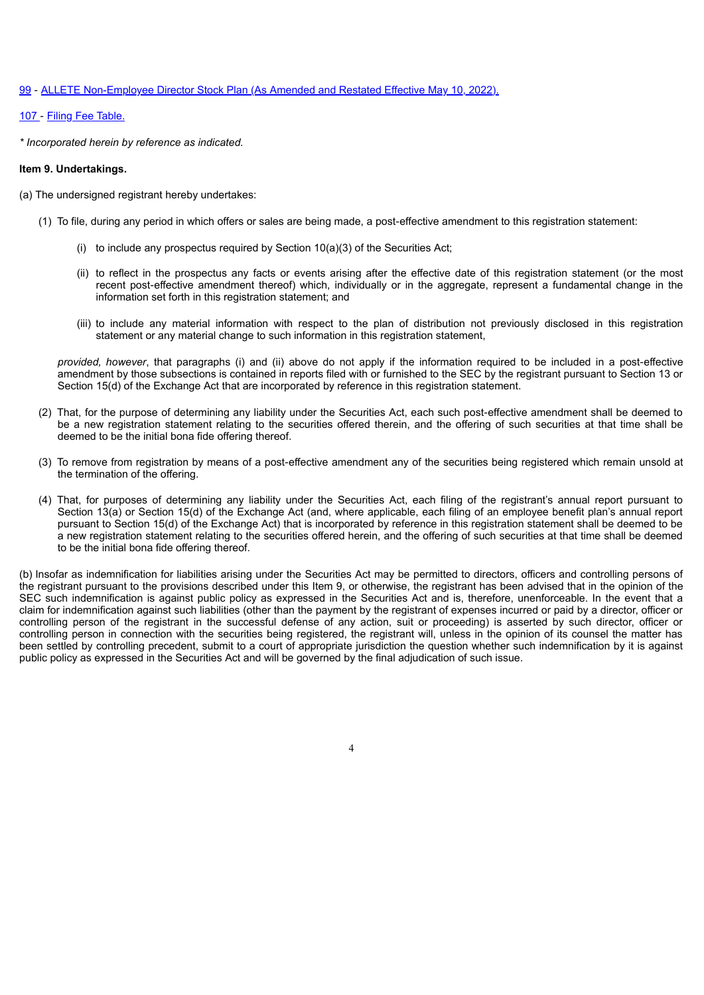### [99](#page-12-0) ‑ [ALLETE](#page-12-0) [Non-Employee](#page-12-0) Director [Stock](#page-12-0) Plan [\(As](#page-12-0) [Amended](#page-12-0) and Restated Effective May 10, [2022\).](#page-12-0)

[107](#page-7-0) ‑ Filing Fee [Table.](#page-7-0)

*\* Incorporated herein by reference as indicated.*

### **Item 9. Undertakings.**

(a) The undersigned registrant hereby undertakes:

- (1) To file, during any period in which offers or sales are being made, a post‑effective amendment to this registration statement:
	- (i) to include any prospectus required by Section  $10(a)(3)$  of the Securities Act;
	- (ii) to reflect in the prospectus any facts or events arising after the effective date of this registration statement (or the most recent post-effective amendment thereof) which, individually or in the aggregate, represent a fundamental change in the information set forth in this registration statement; and
	- (iii) to include any material information with respect to the plan of distribution not previously disclosed in this registration statement or any material change to such information in this registration statement,

*provided, however*, that paragraphs (i) and (ii) above do not apply if the information required to be included in a post‑effective amendment by those subsections is contained in reports filed with or furnished to the SEC by the registrant pursuant to Section 13 or Section 15(d) of the Exchange Act that are incorporated by reference in this registration statement.

- (2) That, for the purpose of determining any liability under the Securities Act, each such post‑effective amendment shall be deemed to be a new registration statement relating to the securities offered therein, and the offering of such securities at that time shall be deemed to be the initial bona fide offering thereof.
- (3) To remove from registration by means of a post‑effective amendment any of the securities being registered which remain unsold at the termination of the offering.
- (4) That, for purposes of determining any liability under the Securities Act, each filing of the registrant's annual report pursuant to Section 13(a) or Section 15(d) of the Exchange Act (and, where applicable, each filing of an employee benefit plan's annual report pursuant to Section 15(d) of the Exchange Act) that is incorporated by reference in this registration statement shall be deemed to be a new registration statement relating to the securities offered herein, and the offering of such securities at that time shall be deemed to be the initial bona fide offering thereof.

<span id="page-4-0"></span>(b) Insofar as indemnification for liabilities arising under the Securities Act may be permitted to directors, officers and controlling persons of the registrant pursuant to the provisions described under this Item 9, or otherwise, the registrant has been advised that in the opinion of the SEC such indemnification is against public policy as expressed in the Securities Act and is, therefore, unenforceable. In the event that a claim for indemnification against such liabilities (other than the payment by the registrant of expenses incurred or paid by a director, officer or controlling person of the registrant in the successful defense of any action, suit or proceeding) is asserted by such director, officer or controlling person in connection with the securities being registered, the registrant will, unless in the opinion of its counsel the matter has been settled by controlling precedent, submit to a court of appropriate jurisdiction the question whether such indemnification by it is against public policy as expressed in the Securities Act and will be governed by the final adjudication of such issue.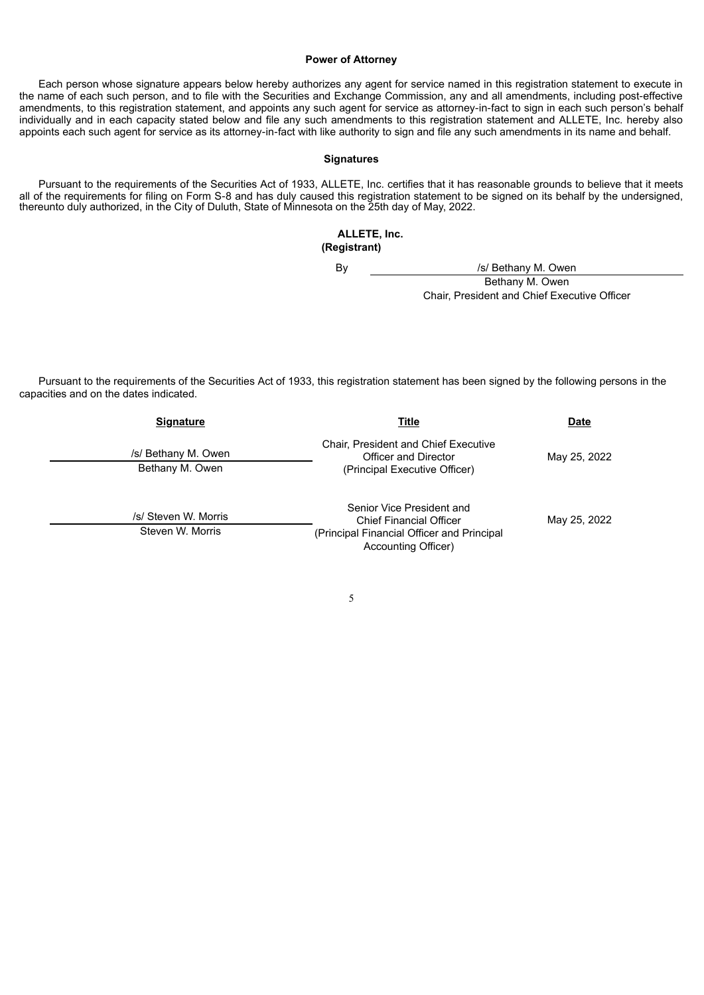### **Power of Attorney**

Each person whose signature appears below hereby authorizes any agent for service named in this registration statement to execute in the name of each such person, and to file with the Securities and Exchange Commission, any and all amendments, including post‑effective amendments, to this registration statement, and appoints any such agent for service as attorney-in-fact to sign in each such person's behalf individually and in each capacity stated below and file any such amendments to this registration statement and ALLETE, Inc. hereby also appoints each such agent for service as its attorney‑in‑fact with like authority to sign and file any such amendments in its name and behalf.

### **Signatures**

Pursuant to the requirements of the Securities Act of 1933, ALLETE, Inc. certifies that it has reasonable grounds to believe that it meets all of the requirements for filing on Form S-8 and has duly caused this registration statement to be signed on its behalf by the undersigned, thereunto duly authorized, in the City of Duluth, State of Minnesota on the 25th day of May, 2022.

### **ALLETE, Inc. (Registrant)**

By */s/ Bethany M. Owen* 

Bethany M. Owen Chair, President and Chief Executive Officer

Pursuant to the requirements of the Securities Act of 1933, this registration statement has been signed by the following persons in the capacities and on the dates indicated.

| <b>Signature</b>                         | Title                                                                                                                            | <b>Date</b>  |  |  |
|------------------------------------------|----------------------------------------------------------------------------------------------------------------------------------|--------------|--|--|
| /s/ Bethany M. Owen<br>Bethany M. Owen   | <b>Chair, President and Chief Executive</b><br>Officer and Director<br>(Principal Executive Officer)                             | May 25, 2022 |  |  |
| /s/ Steven W. Morris<br>Steven W. Morris | Senior Vice President and<br><b>Chief Financial Officer</b><br>(Principal Financial Officer and Principal<br>Accounting Officer) | May 25, 2022 |  |  |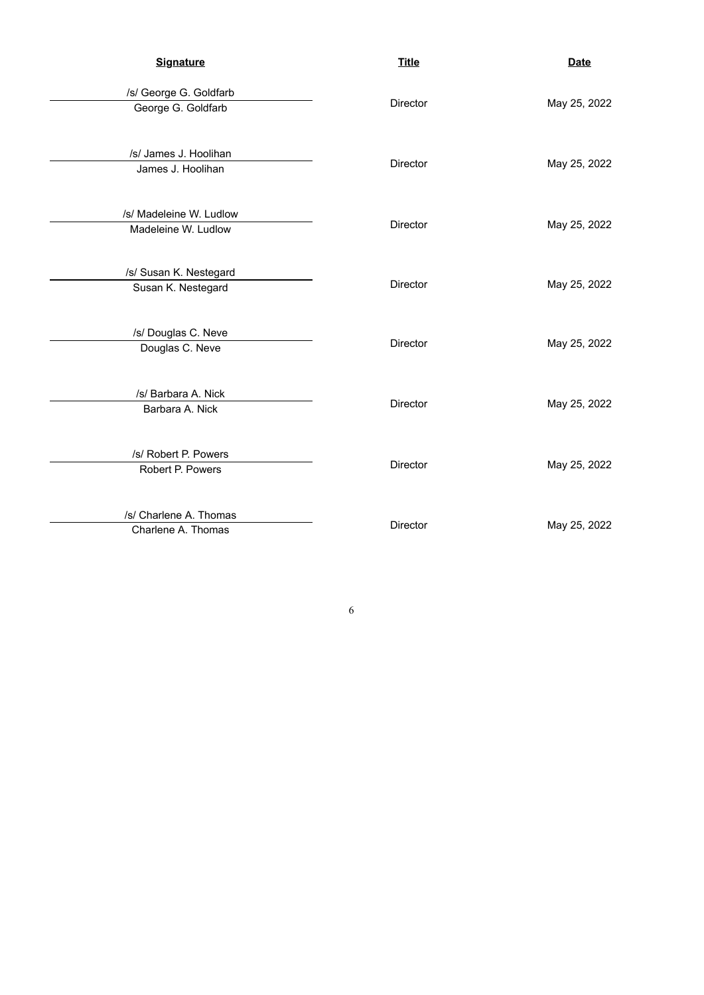| <b>Signature</b>                               | <b>Title</b>    | <b>Date</b>  |  |  |
|------------------------------------------------|-----------------|--------------|--|--|
| /s/ George G. Goldfarb<br>George G. Goldfarb   | Director        | May 25, 2022 |  |  |
| /s/ James J. Hoolihan<br>James J. Hoolihan     | Director        | May 25, 2022 |  |  |
| /s/ Madeleine W. Ludlow<br>Madeleine W. Ludlow | <b>Director</b> | May 25, 2022 |  |  |
| /s/ Susan K. Nestegard<br>Susan K. Nestegard   | Director        | May 25, 2022 |  |  |
| /s/ Douglas C. Neve<br>Douglas C. Neve         | Director        | May 25, 2022 |  |  |
| /s/ Barbara A. Nick<br>Barbara A. Nick         | Director        | May 25, 2022 |  |  |
| /s/ Robert P. Powers<br>Robert P. Powers       | Director        | May 25, 2022 |  |  |
| /s/ Charlene A. Thomas<br>Charlene A. Thomas   | <b>Director</b> | May 25, 2022 |  |  |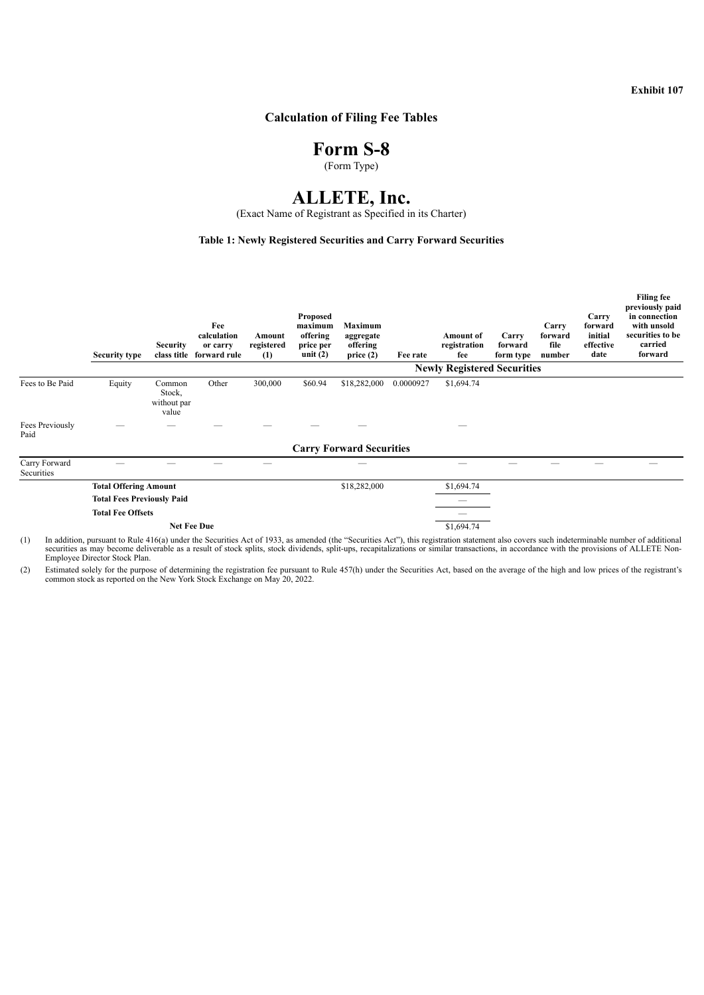**Exhibit 107**

# <span id="page-7-0"></span>**Calculation of Filing Fee Tables**

# **Form S-8**

(Form Type)

# **ALLETE, Inc.**

(Exact Name of Registrant as Specified in its Charter)

### **Table 1: Newly Registered Securities and Carry Forward Securities**

|                             | <b>Security type</b>                                              | <b>Security</b>                          | Fee<br>calculation<br>or carry<br>class title forward rule | Amount<br>registered<br>(1) | Proposed<br>maximum<br>offering<br>price per<br>unit $(2)$ | Maximum<br>aggregate<br>offering<br>price(2) | Fee rate   | <b>Amount</b> of<br>registration<br>fee | Carry<br>forward<br>form type | Carry<br>forward<br>file<br>number | Carry<br>forward<br>initial<br>effective<br>date | <b>Filing fee</b><br>previously paid<br>in connection<br>with unsold<br>securities to be<br>carried<br>forward |
|-----------------------------|-------------------------------------------------------------------|------------------------------------------|------------------------------------------------------------|-----------------------------|------------------------------------------------------------|----------------------------------------------|------------|-----------------------------------------|-------------------------------|------------------------------------|--------------------------------------------------|----------------------------------------------------------------------------------------------------------------|
|                             | <b>Newly Registered Securities</b>                                |                                          |                                                            |                             |                                                            |                                              |            |                                         |                               |                                    |                                                  |                                                                                                                |
| Fees to Be Paid             | Equity                                                            | Common<br>Stock,<br>without par<br>value | Other                                                      | 300,000                     | \$60.94                                                    | \$18,282,000                                 | 0.0000927  | \$1,694.74                              |                               |                                    |                                                  |                                                                                                                |
| Fees Previously<br>Paid     |                                                                   |                                          |                                                            |                             |                                                            |                                              |            |                                         |                               |                                    |                                                  |                                                                                                                |
|                             |                                                                   |                                          |                                                            |                             |                                                            | <b>Carry Forward Securities</b>              |            |                                         |                               |                                    |                                                  |                                                                                                                |
| Carry Forward<br>Securities |                                                                   |                                          |                                                            |                             |                                                            |                                              |            |                                         |                               |                                    |                                                  |                                                                                                                |
|                             | <b>Total Offering Amount</b><br><b>Total Fees Previously Paid</b> |                                          |                                                            |                             |                                                            | \$18,282,000                                 |            | \$1,694.74                              |                               |                                    |                                                  |                                                                                                                |
|                             |                                                                   |                                          |                                                            |                             |                                                            |                                              |            |                                         |                               |                                    |                                                  |                                                                                                                |
|                             | <b>Total Fee Offsets</b>                                          |                                          |                                                            |                             |                                                            |                                              |            |                                         |                               |                                    |                                                  |                                                                                                                |
|                             | <b>Net Fee Due</b>                                                |                                          |                                                            |                             |                                                            |                                              | \$1,694.74 |                                         |                               |                                    |                                                  |                                                                                                                |

(1) In addition, pursuant to Rule 416(a) under the Securities Act of 1933, as amended (the "Securities Act"), this registration statement also covers such indeterminable number of additional securities as may become delive Employee Director Stock Plan.

(2) Estimated solely for the purpose of determining the registration fee pursuant to Rule 457(h) under the Securities Act, based on the average of the high and low prices of the registrant's common stock as reported on the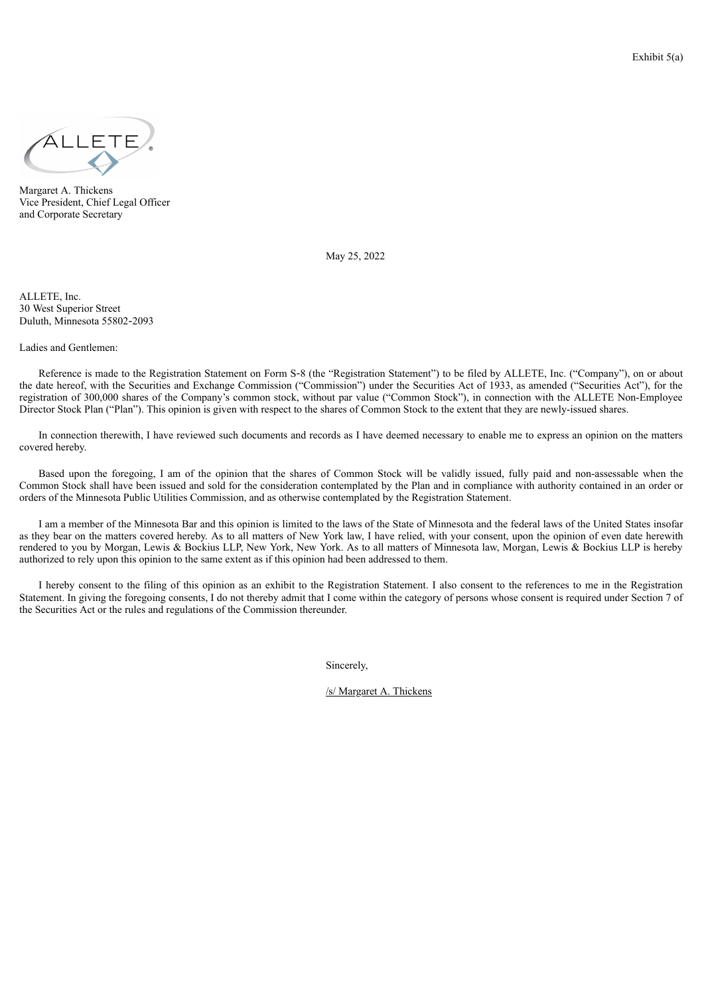<span id="page-8-0"></span>

Margaret A. Thickens Vice President, Chief Legal Officer and Corporate Secretary

May 25, 2022

ALLETE, Inc. 30 West Superior Street Duluth, Minnesota 55802‑2093

Ladies and Gentlemen:

Reference is made to the Registration Statement on Form S-8 (the "Registration Statement") to be filed by ALLETE, Inc. ("Company"), on or about the date hereof, with the Securities and Exchange Commission ("Commission") under the Securities Act of 1933, as amended ("Securities Act"), for the registration of 300,000 shares of the Company's common stock, without par value ("Common Stock"), in connection with the ALLETE Non-Employee Director Stock Plan ("Plan"). This opinion is given with respect to the shares of Common Stock to the extent that they are newly-issued shares.

In connection therewith, I have reviewed such documents and records as I have deemed necessary to enable me to express an opinion on the matters covered hereby.

Based upon the foregoing, I am of the opinion that the shares of Common Stock will be validly issued, fully paid and non-assessable when the Common Stock shall have been issued and sold for the consideration contemplated by the Plan and in compliance with authority contained in an order or orders of the Minnesota Public Utilities Commission, and as otherwise contemplated by the Registration Statement.

I am a member of the Minnesota Bar and this opinion is limited to the laws of the State of Minnesota and the federal laws of the United States insofar as they bear on the matters covered hereby. As to all matters of New York law, I have relied, with your consent, upon the opinion of even date herewith rendered to you by Morgan, Lewis & Bockius LLP, New York, New York. As to all matters of Minnesota law, Morgan, Lewis & Bockius LLP is hereby authorized to rely upon this opinion to the same extent as if this opinion had been addressed to them.

I hereby consent to the filing of this opinion as an exhibit to the Registration Statement. I also consent to the references to me in the Registration Statement. In giving the foregoing consents, I do not thereby admit that I come within the category of persons whose consent is required under Section 7 of the Securities Act or the rules and regulations of the Commission thereunder.

Sincerely,

/s/ Margaret A. Thickens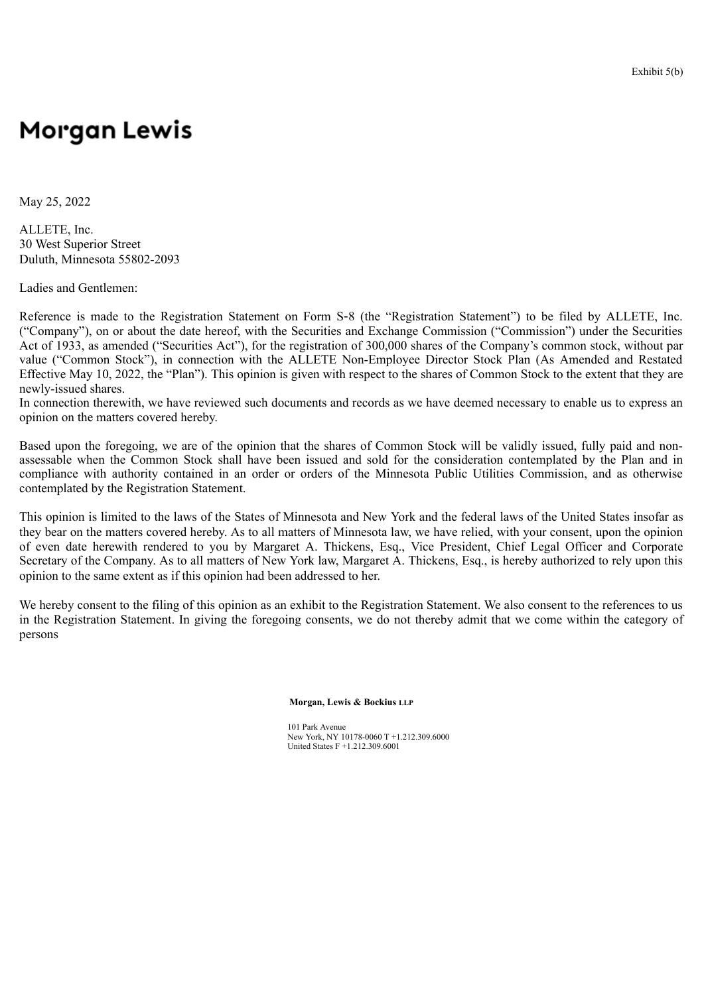### Exhibit 5(b)

# <span id="page-9-0"></span>**Morgan Lewis**

May 25, 2022

ALLETE, Inc. 30 West Superior Street Duluth, Minnesota 55802-2093

Ladies and Gentlemen:

Reference is made to the Registration Statement on Form S-8 (the "Registration Statement") to be filed by ALLETE, Inc. ("Company"), on or about the date hereof, with the Securities and Exchange Commission ("Commission") under the Securities Act of 1933, as amended ("Securities Act"), for the registration of 300,000 shares of the Company's common stock, without par value ("Common Stock"), in connection with the ALLETE Non-Employee Director Stock Plan (As Amended and Restated Effective May 10, 2022, the "Plan"). This opinion is given with respect to the shares of Common Stock to the extent that they are newly-issued shares.

In connection therewith, we have reviewed such documents and records as we have deemed necessary to enable us to express an opinion on the matters covered hereby.

Based upon the foregoing, we are of the opinion that the shares of Common Stock will be validly issued, fully paid and nonassessable when the Common Stock shall have been issued and sold for the consideration contemplated by the Plan and in compliance with authority contained in an order or orders of the Minnesota Public Utilities Commission, and as otherwise contemplated by the Registration Statement.

This opinion is limited to the laws of the States of Minnesota and New York and the federal laws of the United States insofar as they bear on the matters covered hereby. As to all matters of Minnesota law, we have relied, with your consent, upon the opinion of even date herewith rendered to you by Margaret A. Thickens, Esq., Vice President, Chief Legal Officer and Corporate Secretary of the Company. As to all matters of New York law, Margaret A. Thickens, Esq., is hereby authorized to rely upon this opinion to the same extent as if this opinion had been addressed to her.

We hereby consent to the filing of this opinion as an exhibit to the Registration Statement. We also consent to the references to us in the Registration Statement. In giving the foregoing consents, we do not thereby admit that we come within the category of persons

**Morgan, Lewis & Bockius LLP**

101 Park Avenue New York, NY 10178-0060 T +1.212.309.6000 United States F +1.212.309.6001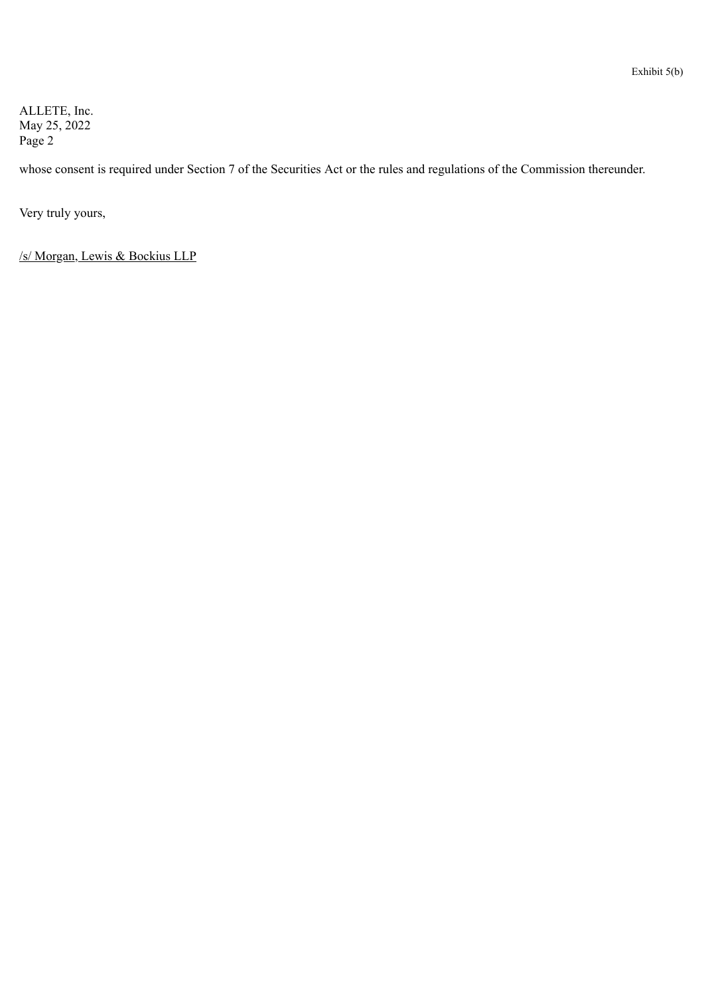ALLETE, Inc. May 25, 2022 Page 2

whose consent is required under Section 7 of the Securities Act or the rules and regulations of the Commission thereunder.

Very truly yours,

/s/ Morgan, Lewis & Bockius LLP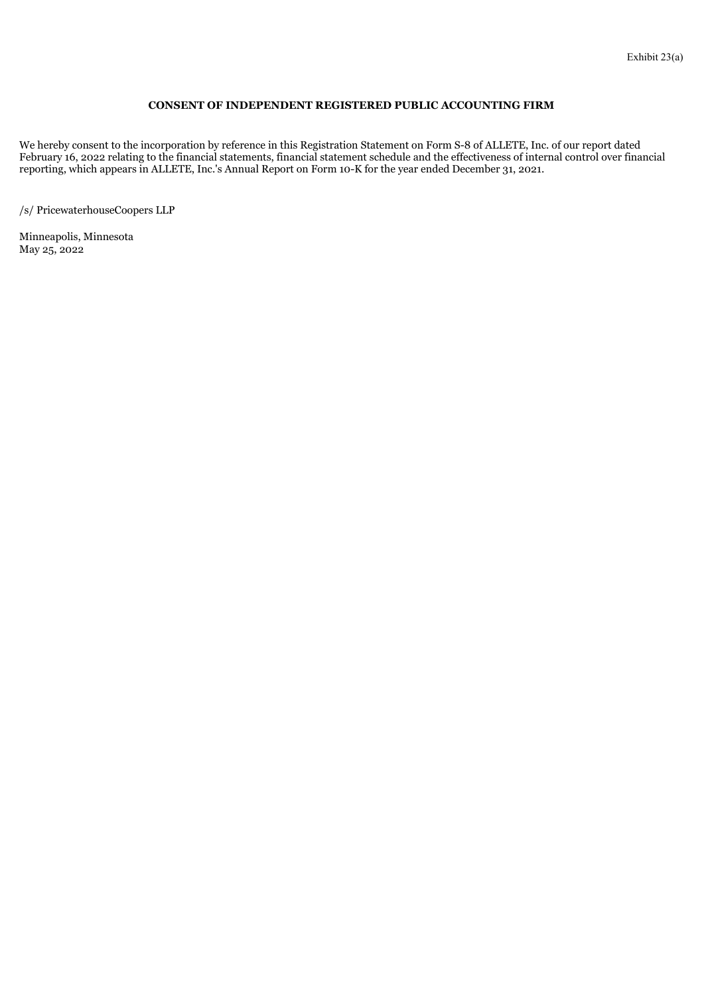### **CONSENT OF INDEPENDENT REGISTERED PUBLIC ACCOUNTING FIRM**

<span id="page-11-0"></span>We hereby consent to the incorporation by reference in this Registration Statement on Form S-8 of ALLETE, Inc. of our report dated February 16, 2022 relating to the financial statements, financial statement schedule and the effectiveness of internal control over financial reporting, which appears in ALLETE, Inc.'s Annual Report on Form 10-K for the year ended December 31, 2021.

/s/ PricewaterhouseCoopers LLP

Minneapolis, Minnesota May 25, 2022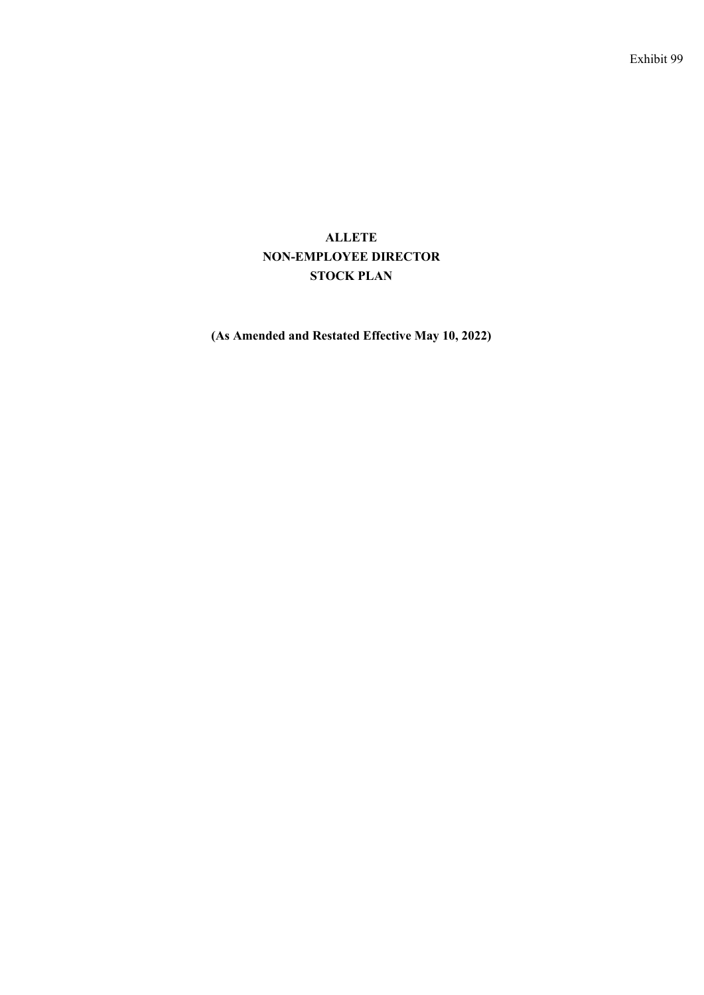# <span id="page-12-0"></span>**ALLETE NON-EMPLOYEE DIRECTOR STOCK PLAN**

**(As Amended and Restated Effective May 10, 2022)**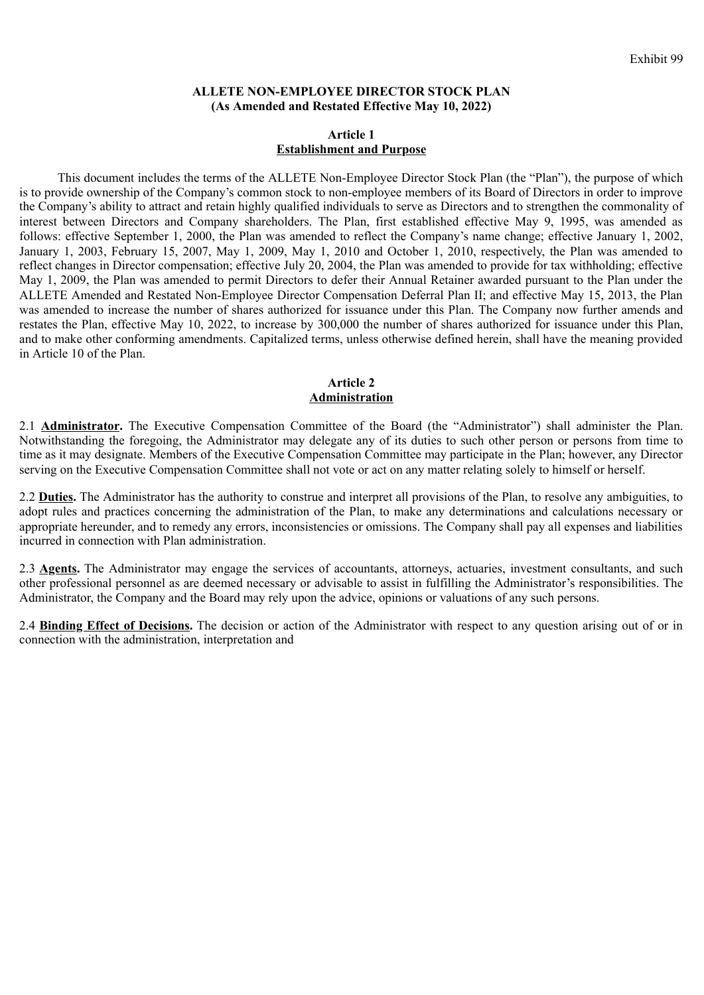# **ALLETE NON-EMPLOYEE DIRECTOR STOCK PLAN (As Amended and Restated Effective May 10, 2022)**

## **Article 1 Establishment and Purpose**

This document includes the terms of the ALLETE Non-Employee Director Stock Plan (the "Plan"), the purpose of which is to provide ownership of the Company's common stock to non-employee members of its Board of Directors in order to improve the Company's ability to attract and retain highly qualified individuals to serve as Directors and to strengthen the commonality of interest between Directors and Company shareholders. The Plan, first established effective May 9, 1995, was amended as follows: effective September 1, 2000, the Plan was amended to reflect the Company's name change; effective January 1, 2002, January 1, 2003, February 15, 2007, May 1, 2009, May 1, 2010 and October 1, 2010, respectively, the Plan was amended to reflect changes in Director compensation; effective July 20, 2004, the Plan was amended to provide for tax withholding; effective May 1, 2009, the Plan was amended to permit Directors to defer their Annual Retainer awarded pursuant to the Plan under the ALLETE Amended and Restated Non-Employee Director Compensation Deferral Plan II; and effective May 15, 2013, the Plan was amended to increase the number of shares authorized for issuance under this Plan. The Company now further amends and restates the Plan, effective May 10, 2022, to increase by 300,000 the number of shares authorized for issuance under this Plan, and to make other conforming amendments. Capitalized terms, unless otherwise defined herein, shall have the meaning provided in Article 10 of the Plan.

# **Article 2 Administration**

2.1 **Administrator**. The Executive Compensation Committee of the Board (the "Administrator") shall administer the Plan. Notwithstanding the foregoing, the Administrator may delegate any of its duties to such other person or persons from time to time as it may designate. Members of the Executive Compensation Committee may participate in the Plan; however, any Director serving on the Executive Compensation Committee shall not vote or act on any matter relating solely to himself or herself.

2.2 **Duties.** The Administrator has the authority to construe and interpret all provisions of the Plan, to resolve any ambiguities, to adopt rules and practices concerning the administration of the Plan, to make any determinations and calculations necessary or appropriate hereunder, and to remedy any errors, inconsistencies or omissions. The Company shall pay all expenses and liabilities incurred in connection with Plan administration.

2.3 **Agents.** The Administrator may engage the services of accountants, attorneys, actuaries, investment consultants, and such other professional personnel as are deemed necessary or advisable to assist in fulfilling the Administrator's responsibilities. The Administrator, the Company and the Board may rely upon the advice, opinions or valuations of any such persons.

2.4 **Binding Effect of Decisions.** The decision or action of the Administrator with respect to any question arising out of or in connection with the administration, interpretation and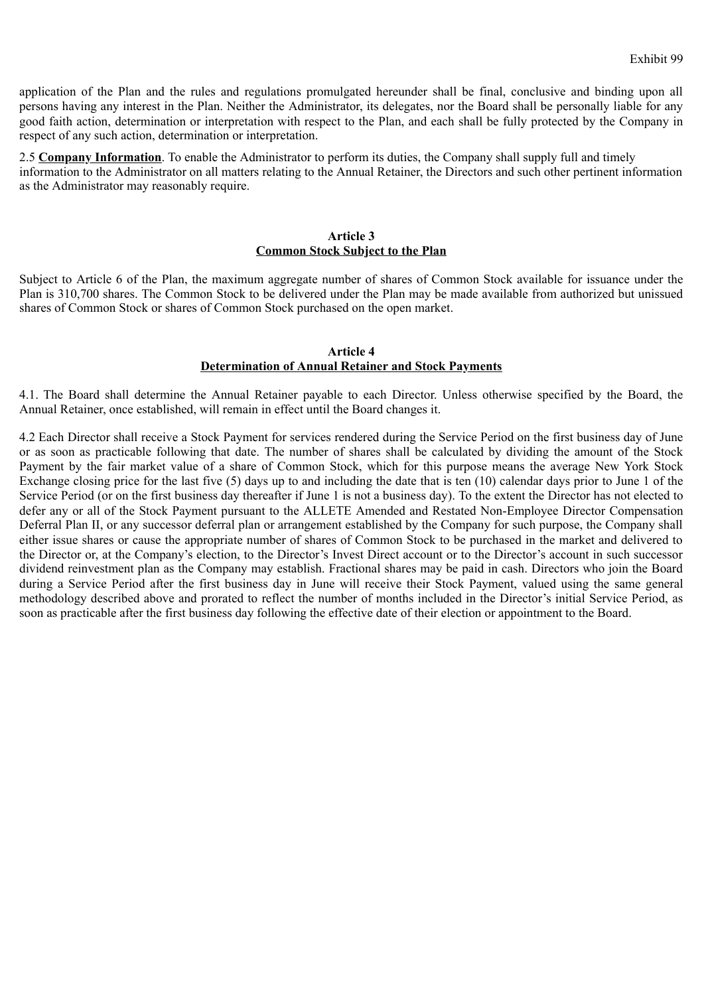application of the Plan and the rules and regulations promulgated hereunder shall be final, conclusive and binding upon all persons having any interest in the Plan. Neither the Administrator, its delegates, nor the Board shall be personally liable for any good faith action, determination or interpretation with respect to the Plan, and each shall be fully protected by the Company in respect of any such action, determination or interpretation.

2.5 **Company Information**. To enable the Administrator to perform its duties, the Company shall supply full and timely information to the Administrator on all matters relating to the Annual Retainer, the Directors and such other pertinent information as the Administrator may reasonably require.

# **Article 3 Common Stock Subject to the Plan**

Subject to Article 6 of the Plan, the maximum aggregate number of shares of Common Stock available for issuance under the Plan is 310,700 shares. The Common Stock to be delivered under the Plan may be made available from authorized but unissued shares of Common Stock or shares of Common Stock purchased on the open market.

## **Article 4 Determination of Annual Retainer and Stock Payments**

4.1. The Board shall determine the Annual Retainer payable to each Director. Unless otherwise specified by the Board, the Annual Retainer, once established, will remain in effect until the Board changes it.

4.2 Each Director shall receive a Stock Payment for services rendered during the Service Period on the first business day of June or as soon as practicable following that date. The number of shares shall be calculated by dividing the amount of the Stock Payment by the fair market value of a share of Common Stock, which for this purpose means the average New York Stock Exchange closing price for the last five (5) days up to and including the date that is ten (10) calendar days prior to June 1 of the Service Period (or on the first business day thereafter if June 1 is not a business day). To the extent the Director has not elected to defer any or all of the Stock Payment pursuant to the ALLETE Amended and Restated Non-Employee Director Compensation Deferral Plan II, or any successor deferral plan or arrangement established by the Company for such purpose, the Company shall either issue shares or cause the appropriate number of shares of Common Stock to be purchased in the market and delivered to the Director or, at the Company's election, to the Director's Invest Direct account or to the Director's account in such successor dividend reinvestment plan as the Company may establish. Fractional shares may be paid in cash. Directors who join the Board during a Service Period after the first business day in June will receive their Stock Payment, valued using the same general methodology described above and prorated to reflect the number of months included in the Director's initial Service Period, as soon as practicable after the first business day following the effective date of their election or appointment to the Board.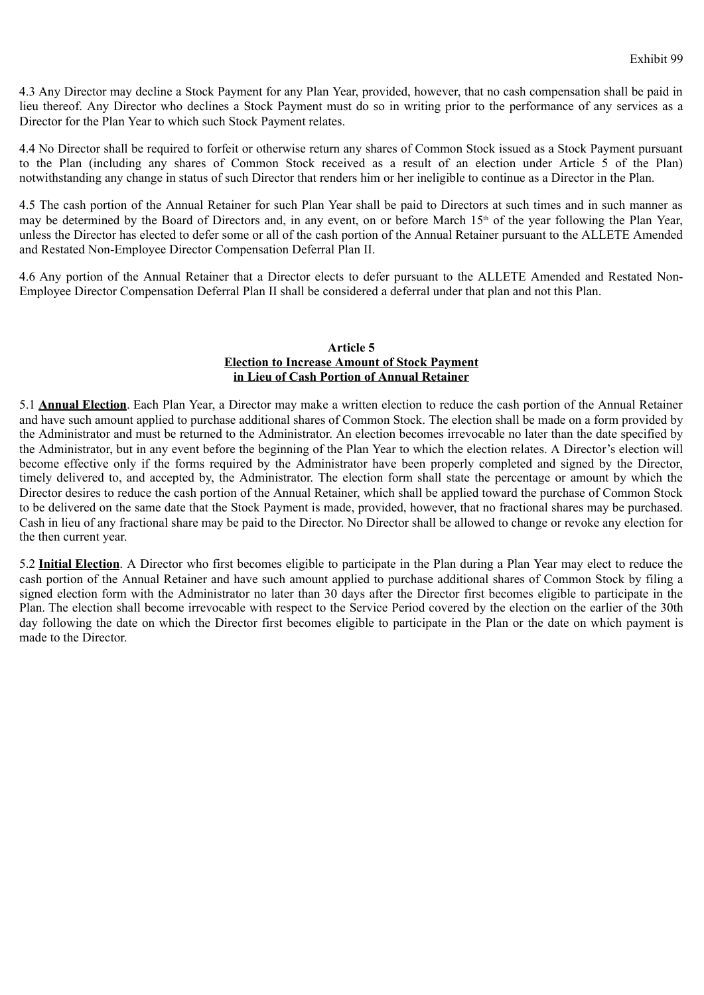4.3 Any Director may decline a Stock Payment for any Plan Year, provided, however, that no cash compensation shall be paid in lieu thereof. Any Director who declines a Stock Payment must do so in writing prior to the performance of any services as a Director for the Plan Year to which such Stock Payment relates.

4.4 No Director shall be required to forfeit or otherwise return any shares of Common Stock issued as a Stock Payment pursuant to the Plan (including any shares of Common Stock received as a result of an election under Article 5 of the Plan) notwithstanding any change in status of such Director that renders him or her ineligible to continue as a Director in the Plan.

4.5 The cash portion of the Annual Retainer for such Plan Year shall be paid to Directors at such times and in such manner as may be determined by the Board of Directors and, in any event, on or before March 15<sup>th</sup> of the year following the Plan Year, unless the Director has elected to defer some or all of the cash portion of the Annual Retainer pursuant to the ALLETE Amended and Restated Non-Employee Director Compensation Deferral Plan II.

4.6 Any portion of the Annual Retainer that a Director elects to defer pursuant to the ALLETE Amended and Restated Non-Employee Director Compensation Deferral Plan II shall be considered a deferral under that plan and not this Plan.

# **Article 5 Election to Increase Amount of Stock Payment in Lieu of Cash Portion of Annual Retainer**

5.1 **Annual Election**. Each Plan Year, a Director may make a written election to reduce the cash portion of the Annual Retainer and have such amount applied to purchase additional shares of Common Stock. The election shall be made on a form provided by the Administrator and must be returned to the Administrator. An election becomes irrevocable no later than the date specified by the Administrator, but in any event before the beginning of the Plan Year to which the election relates. A Director's election will become effective only if the forms required by the Administrator have been properly completed and signed by the Director, timely delivered to, and accepted by, the Administrator. The election form shall state the percentage or amount by which the Director desires to reduce the cash portion of the Annual Retainer, which shall be applied toward the purchase of Common Stock to be delivered on the same date that the Stock Payment is made, provided, however, that no fractional shares may be purchased. Cash in lieu of any fractional share may be paid to the Director. No Director shall be allowed to change or revoke any election for the then current year.

5.2 **Initial Election**. A Director who first becomes eligible to participate in the Plan during a Plan Year may elect to reduce the cash portion of the Annual Retainer and have such amount applied to purchase additional shares of Common Stock by filing a signed election form with the Administrator no later than 30 days after the Director first becomes eligible to participate in the Plan. The election shall become irrevocable with respect to the Service Period covered by the election on the earlier of the 30th day following the date on which the Director first becomes eligible to participate in the Plan or the date on which payment is made to the Director.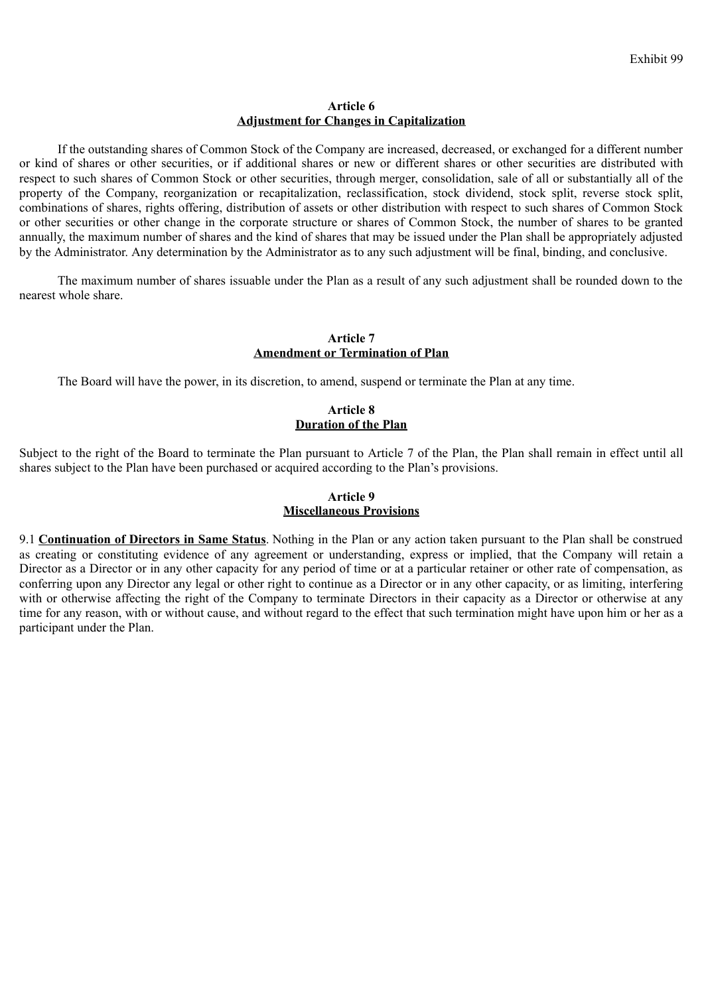## **Article 6 Adjustment for Changes in Capitalization**

If the outstanding shares of Common Stock of the Company are increased, decreased, or exchanged for a different number or kind of shares or other securities, or if additional shares or new or different shares or other securities are distributed with respect to such shares of Common Stock or other securities, through merger, consolidation, sale of all or substantially all of the property of the Company, reorganization or recapitalization, reclassification, stock dividend, stock split, reverse stock split, combinations of shares, rights offering, distribution of assets or other distribution with respect to such shares of Common Stock or other securities or other change in the corporate structure or shares of Common Stock, the number of shares to be granted annually, the maximum number of shares and the kind of shares that may be issued under the Plan shall be appropriately adjusted by the Administrator. Any determination by the Administrator as to any such adjustment will be final, binding, and conclusive.

The maximum number of shares issuable under the Plan as a result of any such adjustment shall be rounded down to the nearest whole share.

### **Article 7 Amendment or Termination of Plan**

The Board will have the power, in its discretion, to amend, suspend or terminate the Plan at any time.

# **Article 8 Duration of the Plan**

Subject to the right of the Board to terminate the Plan pursuant to Article 7 of the Plan, the Plan shall remain in effect until all shares subject to the Plan have been purchased or acquired according to the Plan's provisions.

# **Article 9 Miscellaneous Provisions**

9.1 **Continuation of Directors in Same Status**. Nothing in the Plan or any action taken pursuant to the Plan shall be construed as creating or constituting evidence of any agreement or understanding, express or implied, that the Company will retain a Director as a Director or in any other capacity for any period of time or at a particular retainer or other rate of compensation, as conferring upon any Director any legal or other right to continue as a Director or in any other capacity, or as limiting, interfering with or otherwise affecting the right of the Company to terminate Directors in their capacity as a Director or otherwise at any time for any reason, with or without cause, and without regard to the effect that such termination might have upon him or her as a participant under the Plan.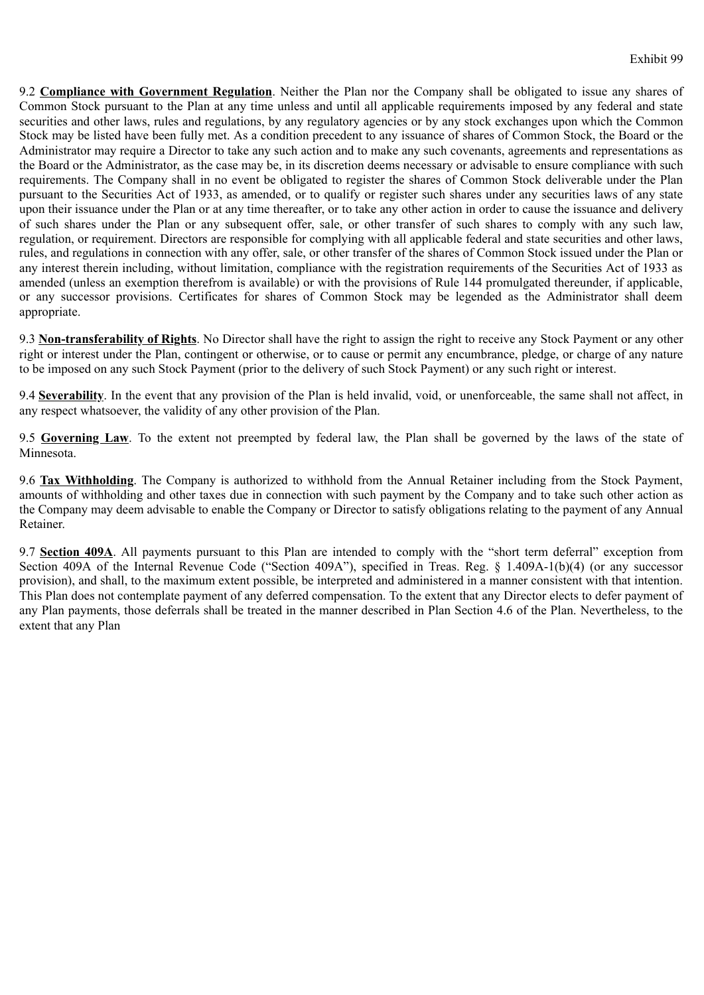9.2 **Compliance with Government Regulation**. Neither the Plan nor the Company shall be obligated to issue any shares of Common Stock pursuant to the Plan at any time unless and until all applicable requirements imposed by any federal and state securities and other laws, rules and regulations, by any regulatory agencies or by any stock exchanges upon which the Common Stock may be listed have been fully met. As a condition precedent to any issuance of shares of Common Stock, the Board or the Administrator may require a Director to take any such action and to make any such covenants, agreements and representations as the Board or the Administrator, as the case may be, in its discretion deems necessary or advisable to ensure compliance with such requirements. The Company shall in no event be obligated to register the shares of Common Stock deliverable under the Plan pursuant to the Securities Act of 1933, as amended, or to qualify or register such shares under any securities laws of any state upon their issuance under the Plan or at any time thereafter, or to take any other action in order to cause the issuance and delivery of such shares under the Plan or any subsequent offer, sale, or other transfer of such shares to comply with any such law, regulation, or requirement. Directors are responsible for complying with all applicable federal and state securities and other laws, rules, and regulations in connection with any offer, sale, or other transfer of the shares of Common Stock issued under the Plan or any interest therein including, without limitation, compliance with the registration requirements of the Securities Act of 1933 as amended (unless an exemption therefrom is available) or with the provisions of Rule 144 promulgated thereunder, if applicable, or any successor provisions. Certificates for shares of Common Stock may be legended as the Administrator shall deem appropriate.

9.3 **Non-transferability of Rights**. No Director shall have the right to assign the right to receive any Stock Payment or any other right or interest under the Plan, contingent or otherwise, or to cause or permit any encumbrance, pledge, or charge of any nature to be imposed on any such Stock Payment (prior to the delivery of such Stock Payment) or any such right or interest.

9.4 **Severability**. In the event that any provision of the Plan is held invalid, void, or unenforceable, the same shall not affect, in any respect whatsoever, the validity of any other provision of the Plan.

9.5 **Governing Law**. To the extent not preempted by federal law, the Plan shall be governed by the laws of the state of Minnesota.

9.6 **Tax Withholding**. The Company is authorized to withhold from the Annual Retainer including from the Stock Payment, amounts of withholding and other taxes due in connection with such payment by the Company and to take such other action as the Company may deem advisable to enable the Company or Director to satisfy obligations relating to the payment of any Annual Retainer.

9.7 **Section 409A**. All payments pursuant to this Plan are intended to comply with the "short term deferral" exception from Section 409A of the Internal Revenue Code ("Section 409A"), specified in Treas. Reg. § 1.409A-1(b)(4) (or any successor provision), and shall, to the maximum extent possible, be interpreted and administered in a manner consistent with that intention. This Plan does not contemplate payment of any deferred compensation. To the extent that any Director elects to defer payment of any Plan payments, those deferrals shall be treated in the manner described in Plan Section 4.6 of the Plan. Nevertheless, to the extent that any Plan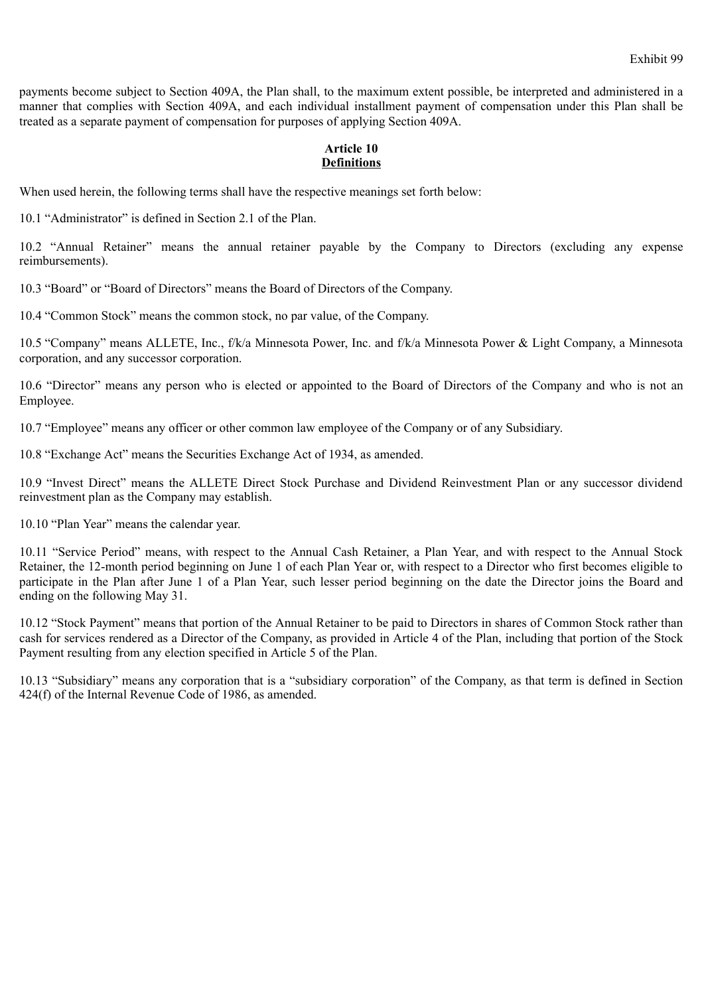payments become subject to Section 409A, the Plan shall, to the maximum extent possible, be interpreted and administered in a manner that complies with Section 409A, and each individual installment payment of compensation under this Plan shall be treated as a separate payment of compensation for purposes of applying Section 409A.

# **Article 10 Definitions**

When used herein, the following terms shall have the respective meanings set forth below:

10.1 "Administrator" is defined in Section 2.1 of the Plan.

10.2 "Annual Retainer" means the annual retainer payable by the Company to Directors (excluding any expense reimbursements).

10.3 "Board" or "Board of Directors" means the Board of Directors of the Company.

10.4 "Common Stock" means the common stock, no par value, of the Company.

10.5 "Company" means ALLETE, Inc., f/k/a Minnesota Power, Inc. and f/k/a Minnesota Power & Light Company, a Minnesota corporation, and any successor corporation.

10.6 "Director" means any person who is elected or appointed to the Board of Directors of the Company and who is not an Employee.

10.7 "Employee" means any officer or other common law employee of the Company or of any Subsidiary.

10.8 "Exchange Act" means the Securities Exchange Act of 1934, as amended.

10.9 "Invest Direct" means the ALLETE Direct Stock Purchase and Dividend Reinvestment Plan or any successor dividend reinvestment plan as the Company may establish.

10.10 "Plan Year" means the calendar year.

10.11 "Service Period" means, with respect to the Annual Cash Retainer, a Plan Year, and with respect to the Annual Stock Retainer, the 12-month period beginning on June 1 of each Plan Year or, with respect to a Director who first becomes eligible to participate in the Plan after June 1 of a Plan Year, such lesser period beginning on the date the Director joins the Board and ending on the following May 31.

10.12 "Stock Payment" means that portion of the Annual Retainer to be paid to Directors in shares of Common Stock rather than cash for services rendered as a Director of the Company, as provided in Article 4 of the Plan, including that portion of the Stock Payment resulting from any election specified in Article 5 of the Plan.

10.13 "Subsidiary" means any corporation that is a "subsidiary corporation" of the Company, as that term is defined in Section 424(f) of the Internal Revenue Code of 1986, as amended.